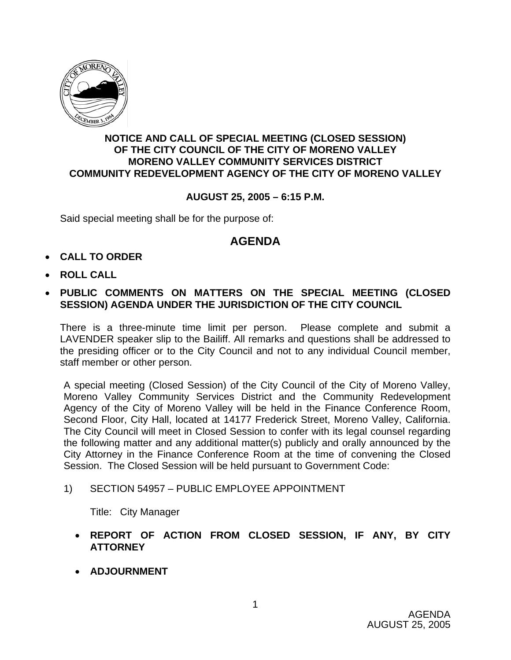

## **NOTICE AND CALL OF SPECIAL MEETING (CLOSED SESSION) OF THE CITY COUNCIL OF THE CITY OF MORENO VALLEY MORENO VALLEY COMMUNITY SERVICES DISTRICT COMMUNITY REDEVELOPMENT AGENCY OF THE CITY OF MORENO VALLEY**

## **AUGUST 25, 2005 – 6:15 P.M.**

Said special meeting shall be for the purpose of:

## **AGENDA**

- **CALL TO ORDER**
- **ROLL CALL**
- **PUBLIC COMMENTS ON MATTERS ON THE SPECIAL MEETING (CLOSED SESSION) AGENDA UNDER THE JURISDICTION OF THE CITY COUNCIL**

There is a three-minute time limit per person. Please complete and submit a LAVENDER speaker slip to the Bailiff. All remarks and questions shall be addressed to the presiding officer or to the City Council and not to any individual Council member, staff member or other person.

A special meeting (Closed Session) of the City Council of the City of Moreno Valley, Moreno Valley Community Services District and the Community Redevelopment Agency of the City of Moreno Valley will be held in the Finance Conference Room, Second Floor, City Hall, located at 14177 Frederick Street, Moreno Valley, California. The City Council will meet in Closed Session to confer with its legal counsel regarding the following matter and any additional matter(s) publicly and orally announced by the City Attorney in the Finance Conference Room at the time of convening the Closed Session. The Closed Session will be held pursuant to Government Code:

## 1) SECTION 54957 – PUBLIC EMPLOYEE APPOINTMENT

Title: City Manager

- **REPORT OF ACTION FROM CLOSED SESSION, IF ANY, BY CITY ATTORNEY**
- **ADJOURNMENT**